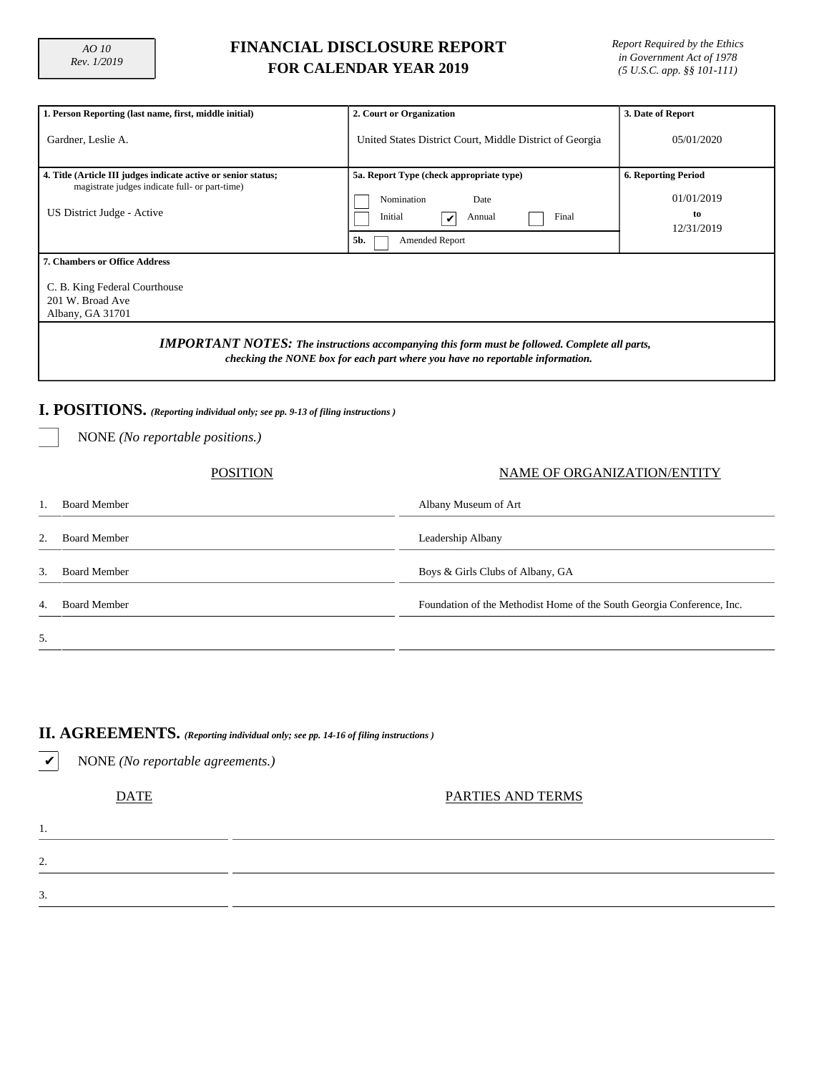## **FINANCIAL DISCLOSURE REPORT FOR CALENDAR YEAR 2019**

*Report Required by the Ethics in Government Act of 1978 (5 U.S.C. app. §§ 101-111)*

| 1. Person Reporting (last name, first, middle initial)                                                                                                                                 | 2. Court or Organization                                                                                                   | 3. Date of Report                                            |  |  |  |  |  |  |
|----------------------------------------------------------------------------------------------------------------------------------------------------------------------------------------|----------------------------------------------------------------------------------------------------------------------------|--------------------------------------------------------------|--|--|--|--|--|--|
| Gardner, Leslie A.                                                                                                                                                                     | United States District Court, Middle District of Georgia                                                                   | 05/01/2020                                                   |  |  |  |  |  |  |
| 4. Title (Article III judges indicate active or senior status;<br>magistrate judges indicate full- or part-time)<br>US District Judge - Active                                         | 5a. Report Type (check appropriate type)<br>Date<br>Nomination<br>Final<br>Initial<br>Annual<br>V<br>Amended Report<br>5b. | <b>6. Reporting Period</b><br>01/01/2019<br>to<br>12/31/2019 |  |  |  |  |  |  |
| <b>7. Chambers or Office Address</b><br>C. B. King Federal Courthouse<br>201 W. Broad Ave<br>Albany, GA 31701                                                                          |                                                                                                                            |                                                              |  |  |  |  |  |  |
| <b>IMPORTANT NOTES:</b> The instructions accompanying this form must be followed. Complete all parts,<br>checking the NONE box for each part where you have no reportable information. |                                                                                                                            |                                                              |  |  |  |  |  |  |
| I. POSITIONS. (Reporting individual only; see pp. 9-13 of filing instructions)<br>NONE ( <i>No reportable positions.</i> )                                                             |                                                                                                                            |                                                              |  |  |  |  |  |  |

#### POSITION NAME OF ORGANIZATION/ENTITY

|    | Board Member        | Albany Museum of Art                                                   |
|----|---------------------|------------------------------------------------------------------------|
| 2. | <b>Board Member</b> | Leadership Albany                                                      |
| 3. | <b>Board Member</b> | Boys & Girls Clubs of Albany, GA                                       |
| 4. | <b>Board Member</b> | Foundation of the Methodist Home of the South Georgia Conference, Inc. |
| 5. |                     |                                                                        |

#### **II. AGREEMENTS.** *(Reporting individual only; see pp. 14-16 of filing instructions )*

✔ NONE *(No reportable agreements.)*

1.

2.

3.

DATE PARTIES AND TERMS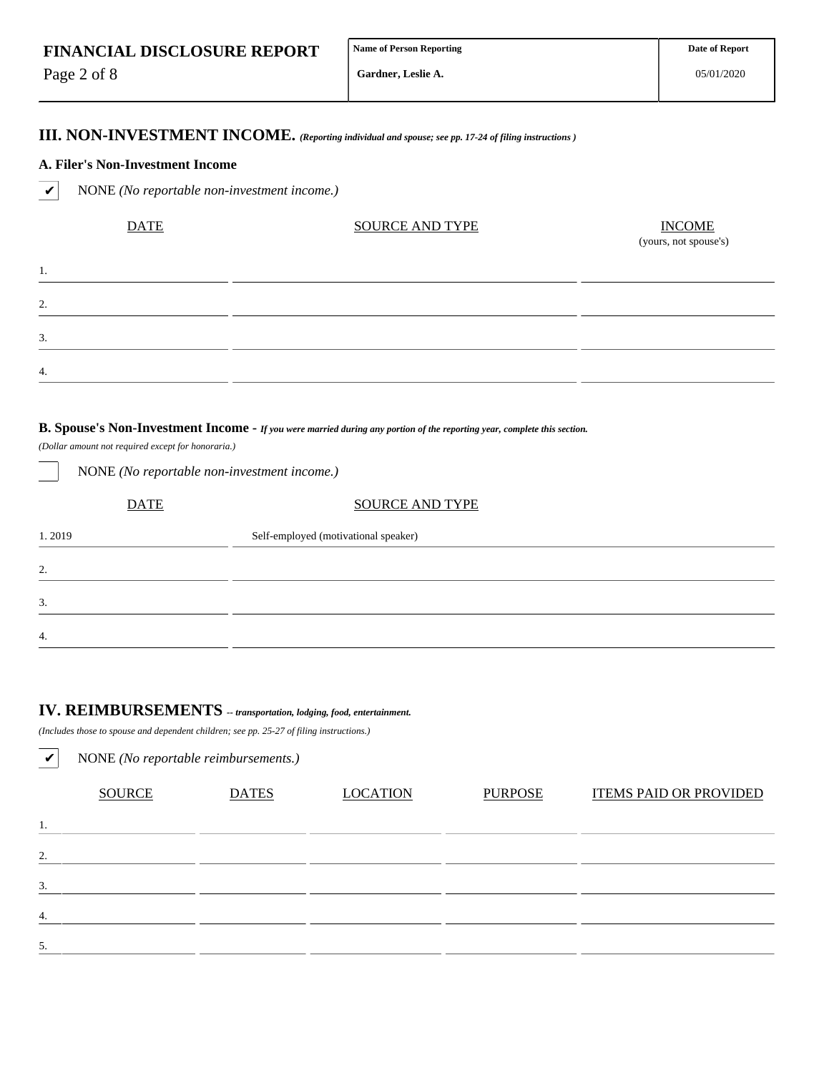Page 2 of 8

1.

2.

3.

4.

**Gardner, Leslie A.**

05/01/2020

### **III. NON-INVESTMENT INCOME.** *(Reporting individual and spouse; see pp. 17-24 of filing instructions )*

#### **A. Filer's Non-Investment Income**

✔ NONE *(No reportable non-investment income.)*

| <b>DATE</b> | <b>SOURCE AND TYPE</b> | $\frac{INCOME}{(yours, not\,, y)}$ |  |  |  |
|-------------|------------------------|------------------------------------|--|--|--|
|             |                        |                                    |  |  |  |
|             |                        |                                    |  |  |  |
|             |                        |                                    |  |  |  |
|             |                        |                                    |  |  |  |

#### **B. Spouse's Non-Investment Income -** *If you were married during any portion of the reporting year, complete this section.*

*(Dollar amount not required except for honoraria.)*

| $\sim$      | $\overline{\phantom{a}}$             |
|-------------|--------------------------------------|
| <b>DATE</b> | <b>SOURCE AND TYPE</b>               |
| 1.2019      | Self-employed (motivational speaker) |
| 2.          |                                      |
| 3.          |                                      |
| 4.          |                                      |

## **IV. REIMBURSEMENTS** *-- transportation, lodging, food, entertainment.*

*(Includes those to spouse and dependent children; see pp. 25-27 of filing instructions.)*

NONE *(No reportable non-investment income.)*

| $\boldsymbol{\mathcal{U}}$ | NONE (No reportable reimbursements.) |              |                 |                |                               |  |  |  |  |  |  |  |
|----------------------------|--------------------------------------|--------------|-----------------|----------------|-------------------------------|--|--|--|--|--|--|--|
|                            | <b>SOURCE</b>                        | <b>DATES</b> | <b>LOCATION</b> | <b>PURPOSE</b> | <b>ITEMS PAID OR PROVIDED</b> |  |  |  |  |  |  |  |
| 1.                         |                                      |              |                 |                |                               |  |  |  |  |  |  |  |
| 2.                         |                                      |              |                 |                |                               |  |  |  |  |  |  |  |
| 3.                         |                                      |              |                 |                |                               |  |  |  |  |  |  |  |
| 4.                         |                                      |              |                 |                |                               |  |  |  |  |  |  |  |
| 5.                         |                                      |              |                 |                |                               |  |  |  |  |  |  |  |
|                            |                                      |              |                 |                |                               |  |  |  |  |  |  |  |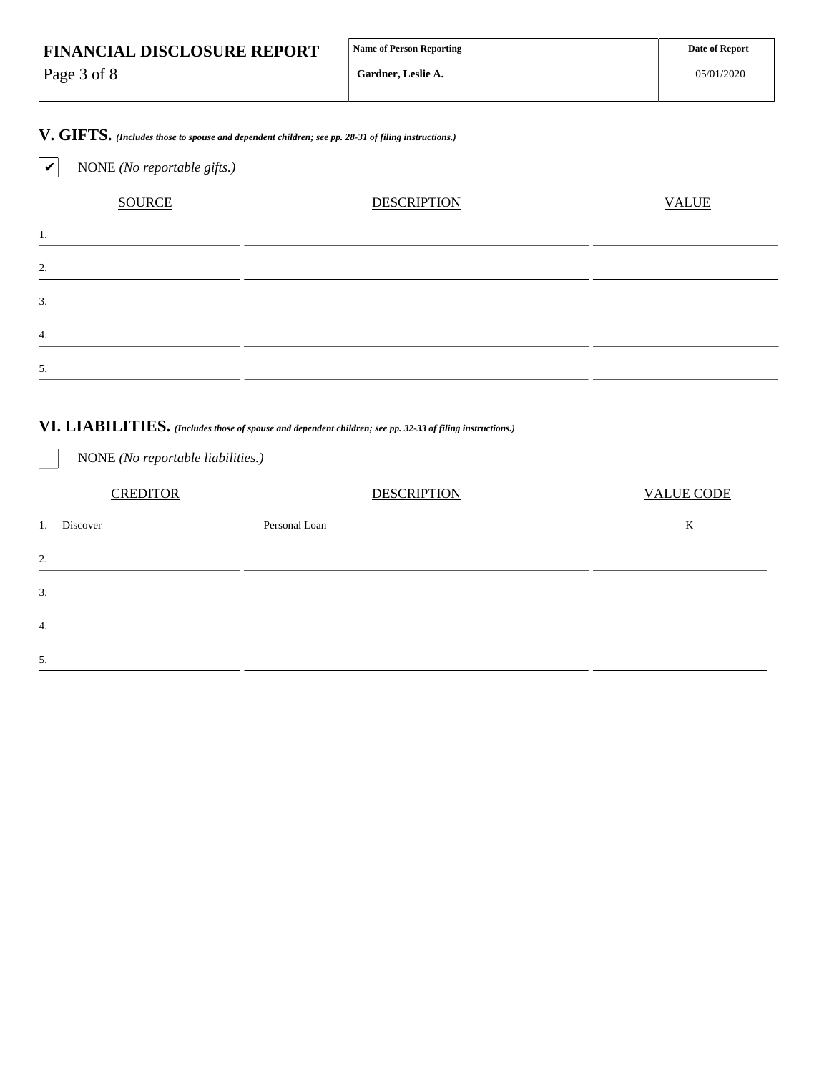| <b>FINANCIAL DISCLOSURE REPORT</b> | <b>Name of Person Reporting</b> | <b>Date of Report</b> |
|------------------------------------|---------------------------------|-----------------------|
| Page 3 of 8                        | <b>Gardner, Leslie A.</b>       | 05/01/2020            |

**V. GIFTS.** *(Includes those to spouse and dependent children; see pp. 28-31 of filing instructions.)*

✔ NONE *(No reportable gifts.)*

NONE *(No reportable liabilities.)*

| <b>SOURCE</b> | <b>DESCRIPTION</b> | <b>VALUE</b> |
|---------------|--------------------|--------------|
| 1.            |                    |              |
| $\mathcal{L}$ |                    |              |
| 3.            |                    |              |
| 4.            |                    |              |
| 5.            |                    |              |

## **VI. LIABILITIES.** *(Includes those of spouse and dependent children; see pp. 32-33 of filing instructions.)*

CREDITOR DESCRIPTION VALUE CODE 1. Discover **Example 2018** Personal Loan **Contract Contract Contract Contract Contract Contract Contract Contract Contract Contract Contract Contract Contract Contract Contract Contract Contract Contract Contract Contract** 2. 3. 4. 5.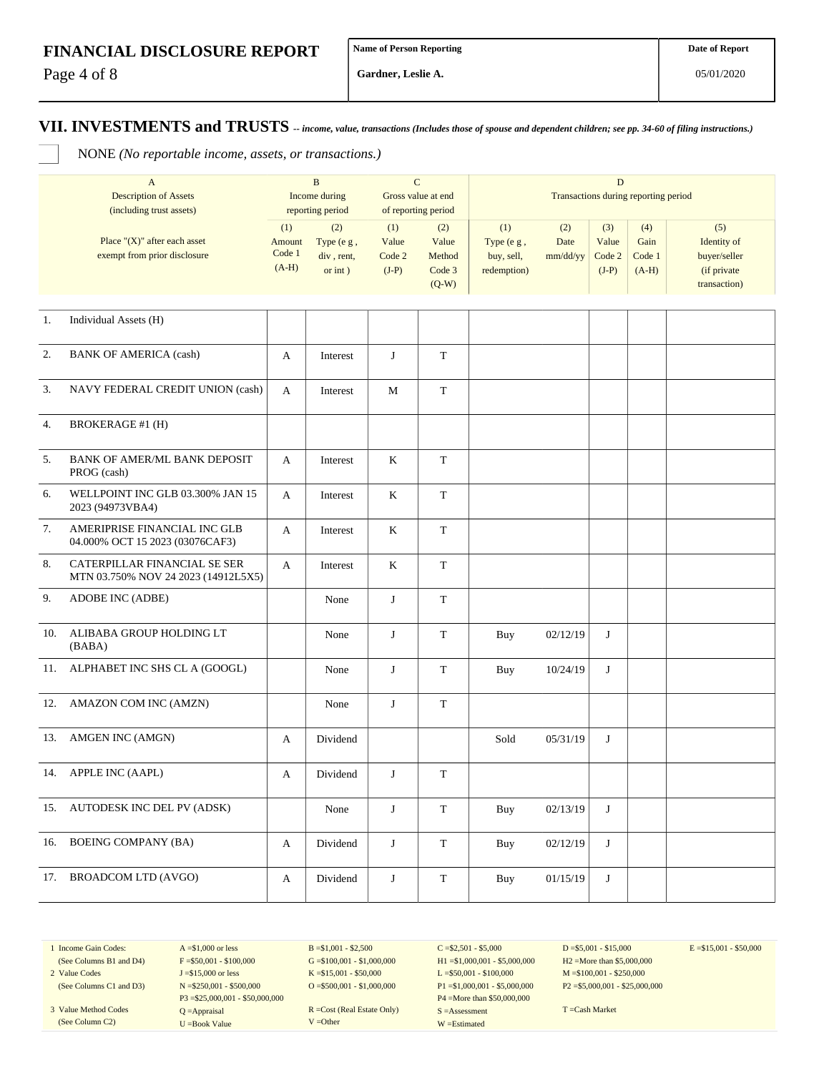Page 4 of 8

**Gardner, Leslie A.**

#### **VII. INVESTMENTS and TRUSTS** *-- income, value, transactions (Includes those of spouse and dependent children; see pp. 34-60 of filing instructions.)*

NONE *(No reportable income, assets, or transactions.)*

|     | $\mathbf{A}$<br><b>Description of Assets</b>                                                 |                                    | $\, {\bf B}$<br>Income during                                     | $\mathbf C$<br>Gross value at end |                                                                    | $\mathbf D$<br>Transactions during reporting period |                         |                                   |                                  |                                                                   |
|-----|----------------------------------------------------------------------------------------------|------------------------------------|-------------------------------------------------------------------|-----------------------------------|--------------------------------------------------------------------|-----------------------------------------------------|-------------------------|-----------------------------------|----------------------------------|-------------------------------------------------------------------|
|     | (including trust assets)<br>Place " $(X)$ " after each asset<br>exempt from prior disclosure | (1)<br>Amount<br>Code 1<br>$(A-H)$ | reporting period<br>(2)<br>Type (e g,<br>div, rent,<br>or $int$ ) | (1)<br>Value<br>Code 2<br>$(J-P)$ | of reporting period<br>(2)<br>Value<br>Method<br>Code 3<br>$(Q-W)$ | (1)<br>Type (e g,<br>buy, sell,<br>redemption)      | (2)<br>Date<br>mm/dd/yy | (3)<br>Value<br>Code 2<br>$(J-P)$ | (4)<br>Gain<br>Code 1<br>$(A-H)$ | (5)<br>Identity of<br>buyer/seller<br>(if private<br>transaction) |
| 1.  | Individual Assets (H)                                                                        |                                    |                                                                   |                                   |                                                                    |                                                     |                         |                                   |                                  |                                                                   |
| 2.  | <b>BANK OF AMERICA (cash)</b>                                                                | A                                  | Interest                                                          | J                                 | $\mathbf T$                                                        |                                                     |                         |                                   |                                  |                                                                   |
| 3.  | NAVY FEDERAL CREDIT UNION (cash)                                                             | A                                  | Interest                                                          | M                                 | $\mathbf T$                                                        |                                                     |                         |                                   |                                  |                                                                   |
| 4.  | <b>BROKERAGE #1 (H)</b>                                                                      |                                    |                                                                   |                                   |                                                                    |                                                     |                         |                                   |                                  |                                                                   |
| 5.  | <b>BANK OF AMER/ML BANK DEPOSIT</b><br>PROG (cash)                                           | A                                  | Interest                                                          | K                                 | T                                                                  |                                                     |                         |                                   |                                  |                                                                   |
| 6.  | WELLPOINT INC GLB 03.300% JAN 15<br>2023 (94973VBA4)                                         | A                                  | Interest                                                          | K                                 | $\mathbf T$                                                        |                                                     |                         |                                   |                                  |                                                                   |
| 7.  | AMERIPRISE FINANCIAL INC GLB<br>04.000% OCT 15 2023 (03076CAF3)                              | A                                  | Interest                                                          | K                                 | $\mathbf T$                                                        |                                                     |                         |                                   |                                  |                                                                   |
| 8.  | CATERPILLAR FINANCIAL SE SER<br>MTN 03.750% NOV 24 2023 (14912L5X5)                          | A                                  | Interest                                                          | K                                 | T                                                                  |                                                     |                         |                                   |                                  |                                                                   |
| 9.  | ADOBE INC (ADBE)                                                                             |                                    | None                                                              | J                                 | $\mathbf T$                                                        |                                                     |                         |                                   |                                  |                                                                   |
| 10. | ALIBABA GROUP HOLDING LT<br>(BABA)                                                           |                                    | None                                                              | J                                 | $\mathbf T$                                                        | Buy                                                 | 02/12/19                | J                                 |                                  |                                                                   |
| 11. | ALPHABET INC SHS CL A (GOOGL)                                                                |                                    | None                                                              | J                                 | $\mathbf T$                                                        | Buy                                                 | 10/24/19                | J                                 |                                  |                                                                   |
| 12. | AMAZON COM INC (AMZN)                                                                        |                                    | None                                                              | J                                 | T                                                                  |                                                     |                         |                                   |                                  |                                                                   |
| 13. | AMGEN INC (AMGN)                                                                             | A                                  | Dividend                                                          |                                   |                                                                    | Sold                                                | 05/31/19                | J                                 |                                  |                                                                   |
| 14. | APPLE INC (AAPL)                                                                             | A                                  | Dividend                                                          | J                                 | $\mathbf T$                                                        |                                                     |                         |                                   |                                  |                                                                   |
|     | 15. AUTODESK INC DEL PV (ADSK)                                                               |                                    | None                                                              | J                                 | $\mathbf T$                                                        | Buy                                                 | 02/13/19                | J                                 |                                  |                                                                   |
| 16. | <b>BOEING COMPANY (BA)</b>                                                                   | A                                  | Dividend                                                          | J                                 | $\mathbf T$                                                        | Buy                                                 | 02/12/19                | J                                 |                                  |                                                                   |
|     | 17. BROADCOM LTD (AVGO)                                                                      | A                                  | Dividend                                                          | J                                 | $\mathbf T$                                                        | Buy                                                 | 01/15/19                | J                                 |                                  |                                                                   |

1 Income Gain Codes: (See Columns B1 and D4)

2 Value Codes (See Columns C1 and D3)

3 Value Method Codes (See Column C2)

 $F = $50,001 - $100,000$ J =\$15,000 or less N =\$250,001 - \$500,000 P3 =\$25,000,001 - \$50,000,000 Q =Appraisal U =Book Value

 $A = $1,000$  or less

 $B = $1,001 - $2,500$  $G = $100,001 - $1,000,000$ K =\$15,001 - \$50,000 O =  $$500,001 - $1,000,000$ 

R =Cost (Real Estate Only) V =Other

 $C = $2,501 - $5,000$ H1 =\$1,000,001 - \$5,000,000 L =\$50,001 - \$100,000 P1 =\$1,000,001 - \$5,000,000 P4 =More than \$50,000,000 S =Assessment W =Estimated

 $D = $5,001 - $15,000$ H2 =More than \$5,000,000 M =\$100,001 - \$250,000 P2 =\$5,000,001 - \$25,000,000  $E = $15,001 - $50,000$ 

T =Cash Market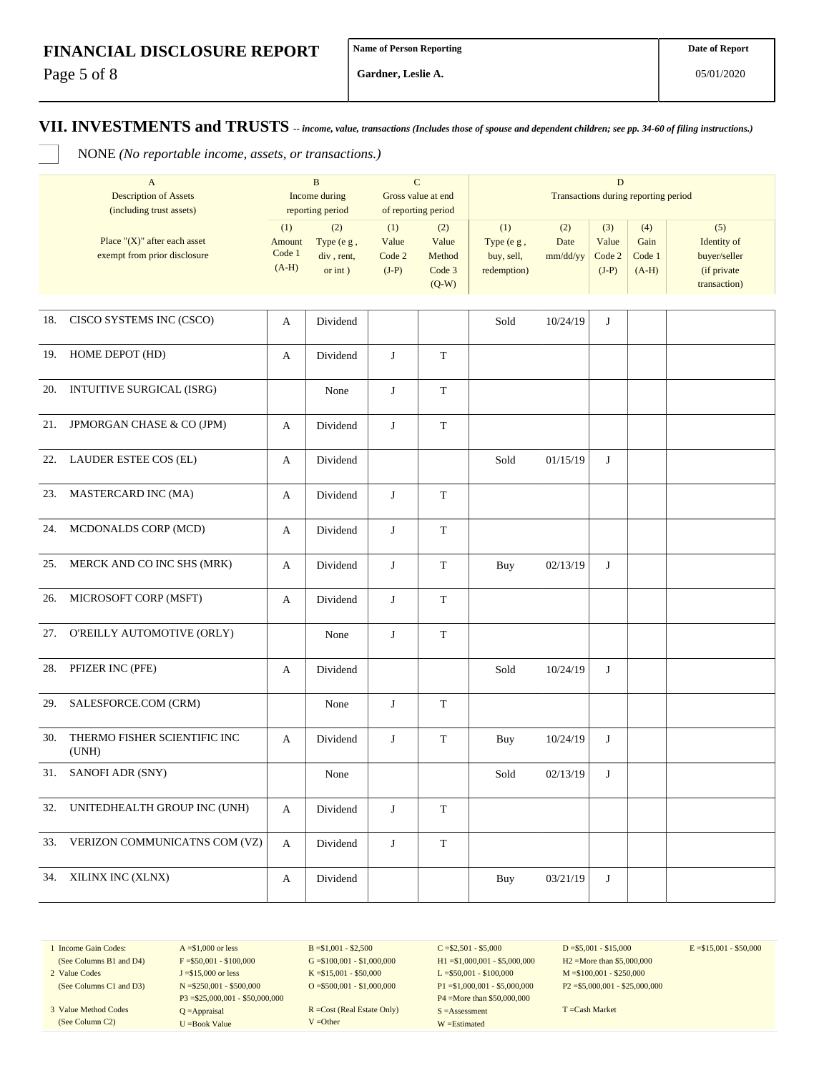Page 5 of 8

**Gardner, Leslie A.**

#### **VII. INVESTMENTS and TRUSTS** *-- income, value, transactions (Includes those of spouse and dependent children; see pp. 34-60 of filing instructions.)*

NONE *(No reportable income, assets, or transactions.)*

|     | $\mathbf{A}$<br><b>Description of Assets</b><br>(including trust assets) |                                    | $\bf{B}$<br>Income during<br>reporting period | $\mathbf C$                       | Gross value at end<br>of reporting period   | $\mathbf D$<br>Transactions during reporting period |                         |                                   |                                  |                                                                   |  |
|-----|--------------------------------------------------------------------------|------------------------------------|-----------------------------------------------|-----------------------------------|---------------------------------------------|-----------------------------------------------------|-------------------------|-----------------------------------|----------------------------------|-------------------------------------------------------------------|--|
|     | Place " $(X)$ " after each asset<br>exempt from prior disclosure         | (1)<br>Amount<br>Code 1<br>$(A-H)$ | (2)<br>Type (e g,<br>div, rent,<br>or $int$ ) | (1)<br>Value<br>Code 2<br>$(J-P)$ | (2)<br>Value<br>Method<br>Code 3<br>$(Q-W)$ | (1)<br>Type (e g,<br>buy, sell,<br>redemption)      | (2)<br>Date<br>mm/dd/yy | (3)<br>Value<br>Code 2<br>$(J-P)$ | (4)<br>Gain<br>Code 1<br>$(A-H)$ | (5)<br>Identity of<br>buyer/seller<br>(if private<br>transaction) |  |
| 18. | CISCO SYSTEMS INC (CSCO)                                                 | A                                  | Dividend                                      |                                   |                                             | Sold                                                | 10/24/19                | J                                 |                                  |                                                                   |  |
| 19. | HOME DEPOT (HD)                                                          | A                                  | Dividend                                      | J                                 | $\mathbf T$                                 |                                                     |                         |                                   |                                  |                                                                   |  |
| 20. | INTUITIVE SURGICAL (ISRG)                                                |                                    | None                                          | J                                 | T                                           |                                                     |                         |                                   |                                  |                                                                   |  |
| 21. | JPMORGAN CHASE & CO (JPM)                                                | A                                  | Dividend                                      | J                                 | T                                           |                                                     |                         |                                   |                                  |                                                                   |  |
| 22. | LAUDER ESTEE COS (EL)                                                    | A                                  | Dividend                                      |                                   |                                             | Sold                                                | 01/15/19                | J                                 |                                  |                                                                   |  |
| 23. | MASTERCARD INC (MA)                                                      | A                                  | Dividend                                      | J                                 | T                                           |                                                     |                         |                                   |                                  |                                                                   |  |
| 24. | MCDONALDS CORP (MCD)                                                     | A                                  | Dividend                                      | J                                 | T                                           |                                                     |                         |                                   |                                  |                                                                   |  |
| 25. | MERCK AND CO INC SHS (MRK)                                               | A                                  | Dividend                                      | J                                 | T                                           | Buy                                                 | 02/13/19                | J                                 |                                  |                                                                   |  |
| 26. | MICROSOFT CORP (MSFT)                                                    | A                                  | Dividend                                      | J                                 | T                                           |                                                     |                         |                                   |                                  |                                                                   |  |
| 27. | O'REILLY AUTOMOTIVE (ORLY)                                               |                                    | None                                          | J                                 | $\mathbf T$                                 |                                                     |                         |                                   |                                  |                                                                   |  |
| 28. | PFIZER INC (PFE)                                                         | A                                  | Dividend                                      |                                   |                                             | Sold                                                | 10/24/19                | J                                 |                                  |                                                                   |  |
| 29. | SALESFORCE.COM (CRM)                                                     |                                    | None                                          | J                                 | T                                           |                                                     |                         |                                   |                                  |                                                                   |  |
| 30. | THERMO FISHER SCIENTIFIC INC<br>(UNH)                                    | A                                  | Dividend                                      | J                                 | $\mathbf T$                                 | <b>Buy</b>                                          | 10/24/19                | J                                 |                                  |                                                                   |  |
| 31. | SANOFI ADR (SNY)                                                         |                                    | None                                          |                                   |                                             | Sold                                                | 02/13/19                | J                                 |                                  |                                                                   |  |
| 32. | UNITEDHEALTH GROUP INC (UNH)                                             | A                                  | Dividend                                      | J                                 | T                                           |                                                     |                         |                                   |                                  |                                                                   |  |
| 33. | VERIZON COMMUNICATNS COM (VZ)                                            | A                                  | Dividend                                      | J                                 | $\mathbf T$                                 |                                                     |                         |                                   |                                  |                                                                   |  |
|     | 34. XILINX INC (XLNX)                                                    | A                                  | Dividend                                      |                                   |                                             | Buy                                                 | 03/21/19                | J                                 |                                  |                                                                   |  |

1 Income Gain Codes:

(See Columns C1 and D3) 3 Value Method Codes (See Column C2)

(See Columns B1 and D4) 2 Value Codes

 $F = $50,001 - $100,000$ J =\$15,000 or less N =\$250,001 - \$500,000 P3 =\$25,000,001 - \$50,000,000 Q =Appraisal U =Book Value

 $A = $1,000$  or less

 $B = $1,001 - $2,500$  $G = $100,001 - $1,000,000$ K =\$15,001 - \$50,000 O =  $$500,001 - $1,000,000$ 

R =Cost (Real Estate Only) V =Other

 $C = $2,501 - $5,000$ H1 =\$1,000,001 - \$5,000,000 L =\$50,001 - \$100,000 P1 =\$1,000,001 - \$5,000,000 P4 =More than \$50,000,000 S =Assessment W =Estimated

 $D = $5,001 - $15,000$ H2 =More than \$5,000,000 M =\$100,001 - \$250,000 P2 =\$5,000,001 - \$25,000,000  $E = $15,001 - $50,000$ 

T =Cash Market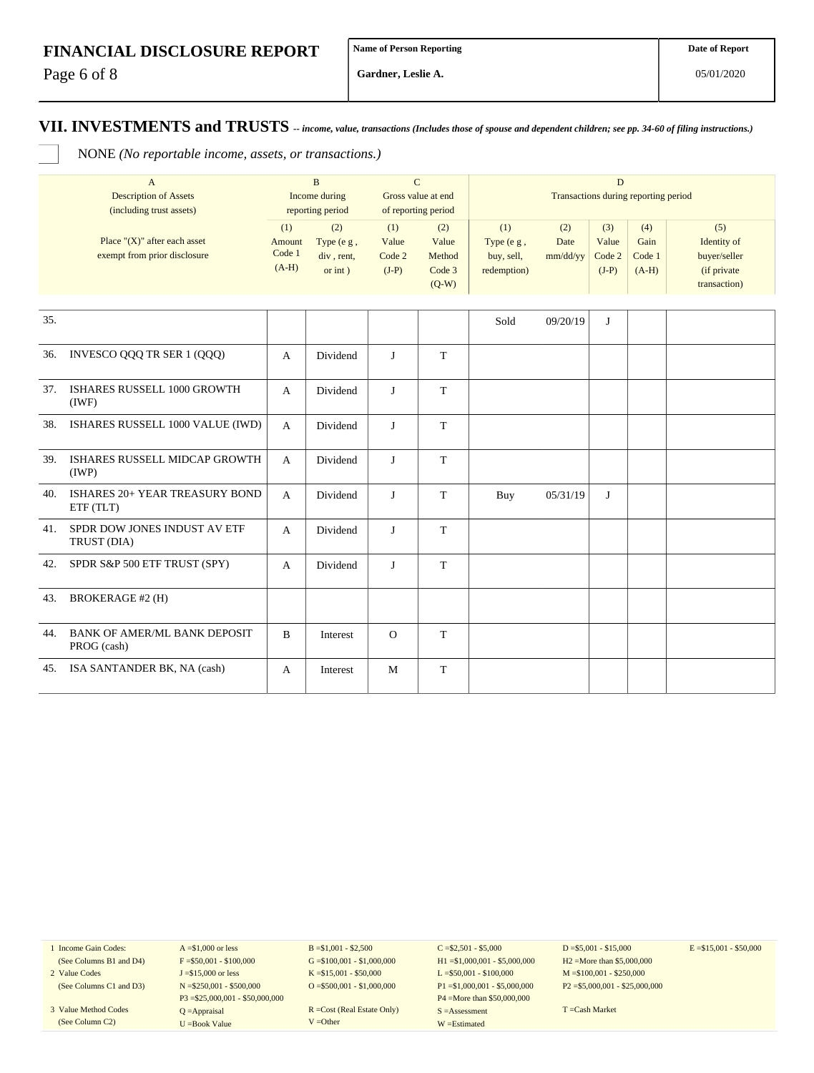Page 6 of 8

**Gardner, Leslie A.**

05/01/2020

#### **VII. INVESTMENTS and TRUSTS** *-- income, value, transactions (Includes those of spouse and dependent children; see pp. 34-60 of filing instructions.)*

NONE *(No reportable income, assets, or transactions.)*

|     | $\mathbf{A}$<br><b>Description of Assets</b><br>(including trust assets) |                                    | $\mathbf{B}$<br>Income during<br>reporting period | $\mathbf C$<br>Gross value at end | of reporting period                         | $\overline{D}$<br>Transactions during reporting period |                         |                                   |                                  |                                                                    |  |
|-----|--------------------------------------------------------------------------|------------------------------------|---------------------------------------------------|-----------------------------------|---------------------------------------------|--------------------------------------------------------|-------------------------|-----------------------------------|----------------------------------|--------------------------------------------------------------------|--|
|     | Place " $(X)$ " after each asset<br>exempt from prior disclosure         | (1)<br>Amount<br>Code 1<br>$(A-H)$ | (2)<br>Type (e g,<br>div, rent,<br>$or$ int $)$   | (1)<br>Value<br>Code 2<br>$(J-P)$ | (2)<br>Value<br>Method<br>Code 3<br>$(Q-W)$ | (1)<br>Type (e g,<br>buy, sell,<br>redemption)         | (2)<br>Date<br>mm/dd/yy | (3)<br>Value<br>Code 2<br>$(J-P)$ | (4)<br>Gain<br>Code 1<br>$(A-H)$ | (5)<br>Identity of<br>buyer/seller<br>(if private)<br>transaction) |  |
| 35. |                                                                          |                                    |                                                   |                                   |                                             |                                                        |                         |                                   |                                  |                                                                    |  |
|     |                                                                          |                                    |                                                   |                                   |                                             | Sold                                                   | 09/20/19                | J                                 |                                  |                                                                    |  |
| 36. | INVESCO QQQ TR SER 1 (QQQ)                                               | A                                  | Dividend                                          | $\mathbf{J}$                      | T                                           |                                                        |                         |                                   |                                  |                                                                    |  |
| 37. | ISHARES RUSSELL 1000 GROWTH<br>(IWF)                                     | $\mathbf{A}$                       | Dividend                                          | $\mathbf{J}$                      | T                                           |                                                        |                         |                                   |                                  |                                                                    |  |
| 38. | ISHARES RUSSELL 1000 VALUE (IWD)                                         | $\mathbf{A}$                       | Dividend                                          | $\mathbf{J}$                      | T                                           |                                                        |                         |                                   |                                  |                                                                    |  |
| 39. | ISHARES RUSSELL MIDCAP GROWTH<br>(IWP)                                   | $\mathbf{A}$                       | Dividend                                          | $\mathbf{J}$                      | T                                           |                                                        |                         |                                   |                                  |                                                                    |  |
| 40. | ISHARES 20+ YEAR TREASURY BOND<br>ETF (TLT)                              | $\mathbf{A}$                       | Dividend                                          | $\mathbf{J}$                      | T                                           | Buy                                                    | 05/31/19                | J                                 |                                  |                                                                    |  |
| 41. | SPDR DOW JONES INDUST AV ETF<br>TRUST (DIA)                              | $\mathbf{A}$                       | Dividend                                          | $\mathbf{J}$                      | T                                           |                                                        |                         |                                   |                                  |                                                                    |  |
| 42. | SPDR S&P 500 ETF TRUST (SPY)                                             | $\mathbf{A}$                       | Dividend                                          | $\mathbf{J}$                      | T                                           |                                                        |                         |                                   |                                  |                                                                    |  |
| 43. | <b>BROKERAGE #2 (H)</b>                                                  |                                    |                                                   |                                   |                                             |                                                        |                         |                                   |                                  |                                                                    |  |
| 44. | <b>BANK OF AMER/ML BANK DEPOSIT</b><br>PROG (cash)                       | $\mathbf B$                        | Interest                                          | $\Omega$                          | T                                           |                                                        |                         |                                   |                                  |                                                                    |  |
| 45. | ISA SANTANDER BK, NA (cash)                                              | A                                  | Interest                                          | M                                 | T                                           |                                                        |                         |                                   |                                  |                                                                    |  |

1 Income Gain Codes: (See Columns B1 and D4)

- 2 Value Codes
- (See Columns C1 and D3) 3 Value Method Codes

(See Column C2)

 $A = $1,000$  or less  $F = $50,001 - $100,000$ J =\$15,000 or less N =\$250,001 - \$500,000 P3 =\$25,000,001 - \$50,000,000 Q =Appraisal U =Book Value

 $B = $1,001 - $2,500$  $G = $100,001 - $1,000,000$ K =\$15,001 - \$50,000 O =  $$500,001 - $1,000,000$ 

R =Cost (Real Estate Only) V =Other

 $C = $2,501 - $5,000$ H1 =\$1,000,001 - \$5,000,000 L =\$50,001 - \$100,000 P1 =\$1,000,001 - \$5,000,000 P4 =More than \$50,000,000 S =Assessment W =Estimated

 $D = $5,001 - $15,000$ H2 =More than \$5,000,000 M =\$100,001 - \$250,000 P2 =\$5,000,001 - \$25,000,000  $E = $15,001 - $50,000$ 

T =Cash Market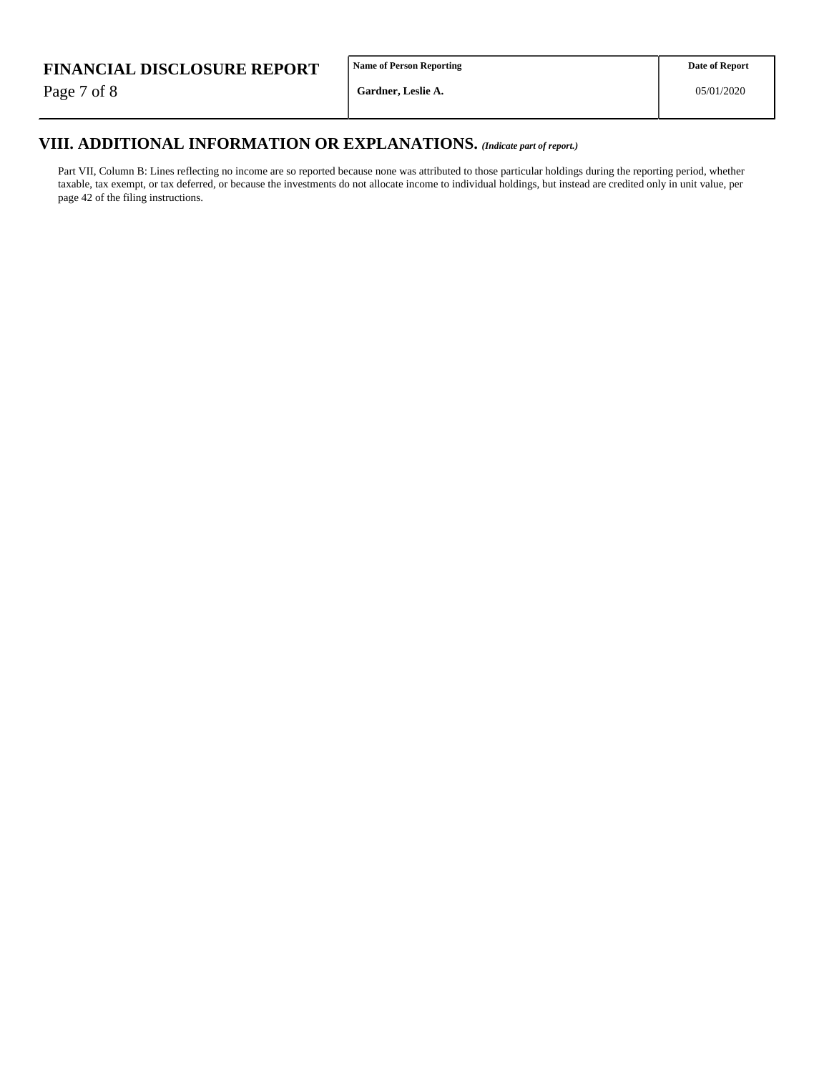Page 7 of 8

**Name of Person Reporting**

# **VIII. ADDITIONAL INFORMATION OR EXPLANATIONS.** *(Indicate part of report.)*

Part VII, Column B: Lines reflecting no income are so reported because none was attributed to those particular holdings during the reporting period, whether taxable, tax exempt, or tax deferred, or because the investments do not allocate income to individual holdings, but instead are credited only in unit value, per page 42 of the filing instructions.